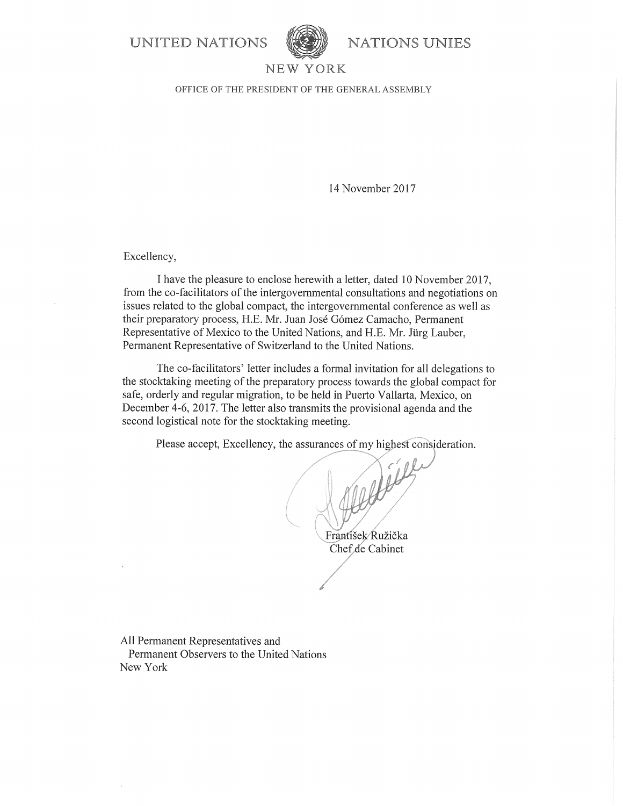**UNITED NATIONS** 



**NATIONS UNIES** 

### NEW YORK

OFFICE OF THE PRESIDENT OF THE GENERAL ASSEMBLY

14 November 2017

Excellency,

I have the pleasure to enclose herewith a letter, dated 10 November 2017, from the co-facilitators of the intergovernmental consultations and negotiations on issues related to the global compact, the intergovernmental conference as well as their preparatory process, H.E. Mr. Juan José Gómez Camacho, Permanent Representative of Mexico to the United Nations, and H.E. Mr. Jürg Lauber, Permanent Representative of Switzerland to the United Nations.

The co-facilitators' letter includes a formal invitation for all delegations to the stocktaking meeting of the preparatory process towards the global compact for safe, orderly and regular migration, to be held in Puerto Vallarta, Mexico, on December 4-6, 2017. The letter also transmits the provisional agenda and the second logistical note for the stocktaking meeting.

Please accept, Excellency, the assurances of my highest consideration.

Frantíšek Ružička Chef de Cabinet

All Permanent Representatives and Permanent Observers to the United Nations New York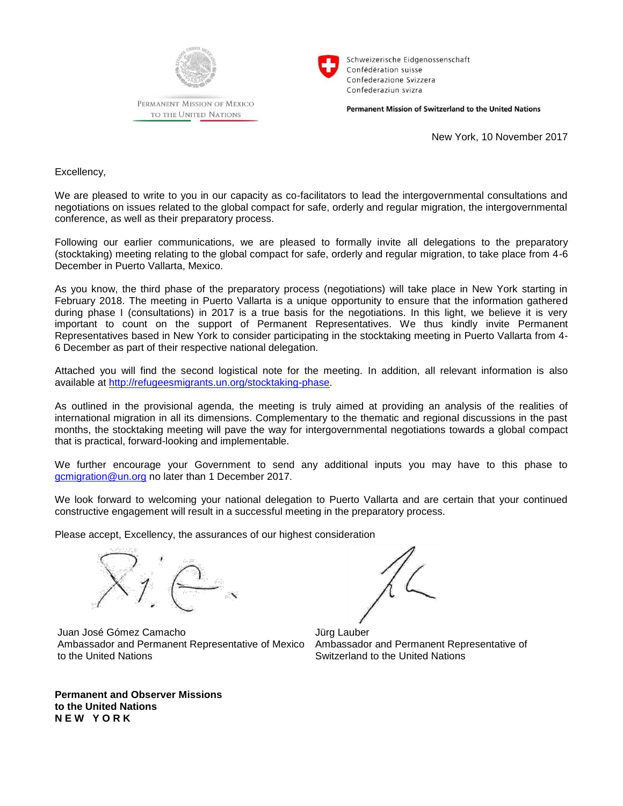

PERMANENT MISSION OF MEXICO TO THE UNITED NATIONS



Schweizerische Eidgenossenschaft Confédération suisse Confederazione Svizzera Confederaziun svizra

Permanent Mission of Switzerland to the United Nations

New York, 10 November 2017

Excellency,

We are pleased to write to you in our capacity as co-facilitators to lead the intergovernmental consultations and negotiations on issues related to the global compact for safe, orderly and regular migration, the intergovernmental conference, as well as their preparatory process.

Following our earlier communications, we are pleased to formally invite all delegations to the preparatory (stocktaking) meeting relating to the global compact for safe, orderly and regular migration, to take place from 4-6 December in Puerto Vallarta, Mexico.

As you know, the third phase of the preparatory process (negotiations) will take place in New York starting in February 2018. The meeting in Puerto Vallarta is a unique opportunity to ensure that the information gathered during phase I (consultations) in 2017 is a true basis for the negotiations. In this light, we believe it is very important to count on the support of Permanent Representatives. We thus kindly invite Permanent Representatives based in New York to consider participating in the stocktaking meeting in Puerto Vallarta from 4- 6 December as part of their respective national delegation.

Attached you will find the second logistical note for the meeting. In addition, all relevant information is also available at [http://refugeesmigrants.un.org/stocktaking-phase.](http://refugeesmigrants.un.org/stocktaking-phase)

As outlined in the provisional agenda, the meeting is truly aimed at providing an analysis of the realities of international migration in all its dimensions. Complementary to the thematic and regional discussions in the past months, the stocktaking meeting will pave the way for intergovernmental negotiations towards a global compact that is practical, forward-looking and implementable.

We further encourage your Government to send any additional inputs you may have to this phase to [gcmigration@un.org](mailto:gcmigration@un.org) no later than 1 December 2017.

We look forward to welcoming your national delegation to Puerto Vallarta and are certain that your continued constructive engagement will result in a successful meeting in the preparatory process.

Please accept, Excellency, the assurances of our highest consideration



Juan José Gómez Camacho Ambassador and Permanent Representative of Mexico to the United Nations

Jürg Lauber Ambassador and Permanent Representative of Switzerland to the United Nations

**Permanent and Observer Missions to the United Nations N E W Y O R K**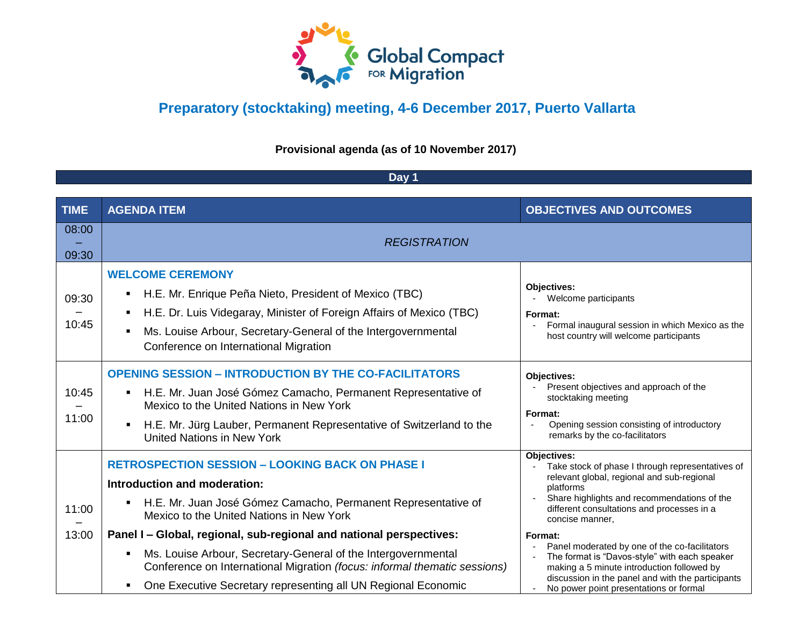

**Provisional agenda (as of 10 November 2017)**

#### **Day 1**

| <b>TIME</b>    | <b>AGENDA ITEM</b>                                                                                                                                                                                                                                                                                                        | <b>OBJECTIVES AND OUTCOMES</b>                                                                                                                                                                                                                         |  |
|----------------|---------------------------------------------------------------------------------------------------------------------------------------------------------------------------------------------------------------------------------------------------------------------------------------------------------------------------|--------------------------------------------------------------------------------------------------------------------------------------------------------------------------------------------------------------------------------------------------------|--|
| 08:00<br>09:30 | <b>REGISTRATION</b>                                                                                                                                                                                                                                                                                                       |                                                                                                                                                                                                                                                        |  |
| 09:30<br>10:45 | <b>WELCOME CEREMONY</b><br>H.E. Mr. Enrique Peña Nieto, President of Mexico (TBC)<br>$\blacksquare$<br>H.E. Dr. Luis Videgaray, Minister of Foreign Affairs of Mexico (TBC)<br>$\blacksquare$<br>Ms. Louise Arbour, Secretary-General of the Intergovernmental<br>$\blacksquare$<br>Conference on International Migration | Objectives:<br>- Welcome participants<br>Format:<br>Formal inaugural session in which Mexico as the<br>host country will welcome participants                                                                                                          |  |
| 10:45<br>11:00 | <b>OPENING SESSION - INTRODUCTION BY THE CO-FACILITATORS</b><br>H.E. Mr. Juan José Gómez Camacho, Permanent Representative of<br>$\blacksquare$<br>Mexico to the United Nations in New York<br>H.E. Mr. Jürg Lauber, Permanent Representative of Switzerland to the<br><b>United Nations in New York</b>                  | Objectives:<br>Present objectives and approach of the<br>stocktaking meeting<br>Format:<br>Opening session consisting of introductory<br>$\blacksquare$<br>remarks by the co-facilitators                                                              |  |
| 11:00          | <b>RETROSPECTION SESSION - LOOKING BACK ON PHASE I</b><br>Introduction and moderation:<br>H.E. Mr. Juan José Gómez Camacho, Permanent Representative of<br>Mexico to the United Nations in New York                                                                                                                       | Objectives:<br>Take stock of phase I through representatives of<br>relevant global, regional and sub-regional<br>platforms<br>Share highlights and recommendations of the<br>different consultations and processes in a<br>concise manner.             |  |
| 13:00          | Panel I - Global, regional, sub-regional and national perspectives:<br>Ms. Louise Arbour, Secretary-General of the Intergovernmental<br>Conference on International Migration (focus: informal thematic sessions)<br>One Executive Secretary representing all UN Regional Economic                                        | Format:<br>Panel moderated by one of the co-facilitators<br>The format is "Davos-style" with each speaker<br>making a 5 minute introduction followed by<br>discussion in the panel and with the participants<br>No power point presentations or formal |  |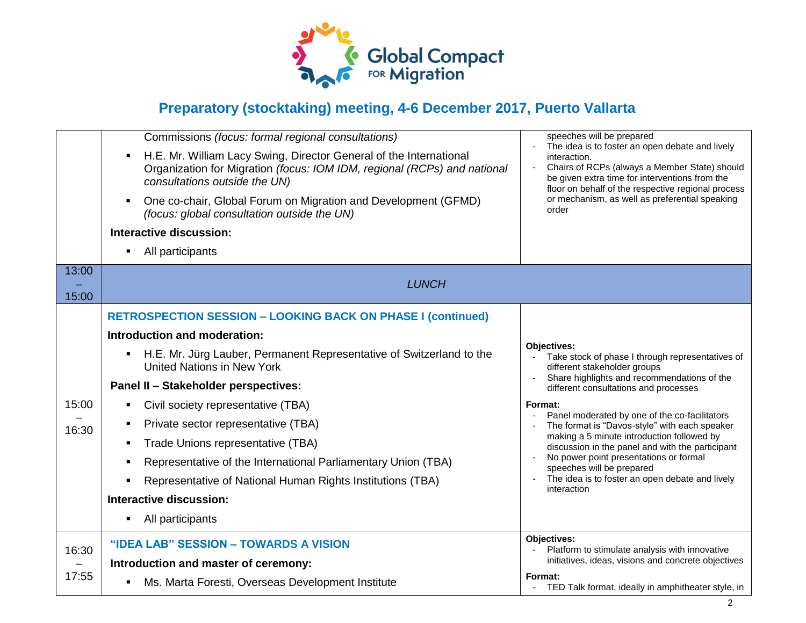

|                | Commissions (focus: formal regional consultations)<br>H.E. Mr. William Lacy Swing, Director General of the International<br>Organization for Migration (focus: IOM IDM, regional (RCPs) and national<br>consultations outside the UN)<br>One co-chair, Global Forum on Migration and Development (GFMD)<br>(focus: global consultation outside the UN)<br>Interactive discussion:<br>All participants                                                                                                                                                                     | speeches will be prepared<br>The idea is to foster an open debate and lively<br>interaction.<br>Chairs of RCPs (always a Member State) should<br>be given extra time for interventions from the<br>floor on behalf of the respective regional process<br>or mechanism, as well as preferential speaking<br>order                                                                                                                                                                                                                                                  |
|----------------|---------------------------------------------------------------------------------------------------------------------------------------------------------------------------------------------------------------------------------------------------------------------------------------------------------------------------------------------------------------------------------------------------------------------------------------------------------------------------------------------------------------------------------------------------------------------------|-------------------------------------------------------------------------------------------------------------------------------------------------------------------------------------------------------------------------------------------------------------------------------------------------------------------------------------------------------------------------------------------------------------------------------------------------------------------------------------------------------------------------------------------------------------------|
| 13:00<br>15:00 | <b>LUNCH</b>                                                                                                                                                                                                                                                                                                                                                                                                                                                                                                                                                              |                                                                                                                                                                                                                                                                                                                                                                                                                                                                                                                                                                   |
| 15:00<br>16:30 | <b>RETROSPECTION SESSION - LOOKING BACK ON PHASE I (continued)</b><br>Introduction and moderation:<br>H.E. Mr. Jürg Lauber, Permanent Representative of Switzerland to the<br>$\blacksquare$<br><b>United Nations in New York</b><br>Panel II - Stakeholder perspectives:<br>Civil society representative (TBA)<br>Private sector representative (TBA)<br>Trade Unions representative (TBA)<br>Representative of the International Parliamentary Union (TBA)<br>Representative of National Human Rights Institutions (TBA)<br>Interactive discussion:<br>All participants | Objectives:<br>Take stock of phase I through representatives of<br>different stakeholder groups<br>Share highlights and recommendations of the<br>$\blacksquare$<br>different consultations and processes<br>Format:<br>Panel moderated by one of the co-facilitators<br>The format is "Davos-style" with each speaker<br>making a 5 minute introduction followed by<br>discussion in the panel and with the participant<br>No power point presentations or formal<br>speeches will be prepared<br>The idea is to foster an open debate and lively<br>interaction |
| 16:30<br>17:55 | "IDEA LAB" SESSION - TOWARDS A VISION<br>Introduction and master of ceremony:<br>Ms. Marta Foresti, Overseas Development Institute                                                                                                                                                                                                                                                                                                                                                                                                                                        | Objectives:<br>Platform to stimulate analysis with innovative<br>initiatives, ideas, visions and concrete objectives<br>Format:<br>TED Talk format, ideally in amphitheater style, in                                                                                                                                                                                                                                                                                                                                                                             |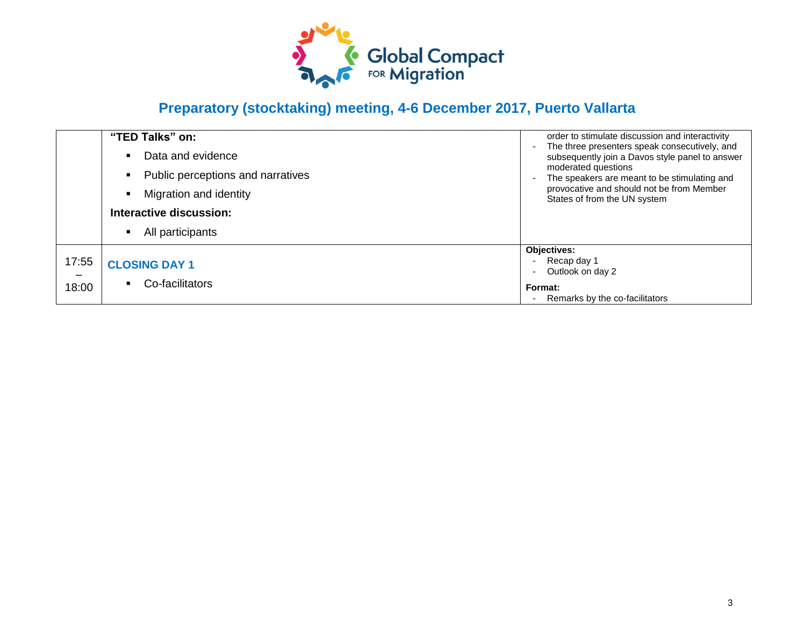

|                | "TED Talks" on:<br>Data and evidence<br>Public perceptions and narratives<br>Migration and identity<br>Interactive discussion:<br>All participants | order to stimulate discussion and interactivity<br>The three presenters speak consecutively, and<br>subsequently join a Davos style panel to answer<br>moderated questions<br>The speakers are meant to be stimulating and<br>provocative and should not be from Member<br>States of from the UN system |
|----------------|----------------------------------------------------------------------------------------------------------------------------------------------------|---------------------------------------------------------------------------------------------------------------------------------------------------------------------------------------------------------------------------------------------------------------------------------------------------------|
| 17:55<br>18:00 | <b>CLOSING DAY 1</b><br>Co-facilitators                                                                                                            | Objectives:<br>Recap day 1<br>Outlook on day 2<br>Format:<br>Remarks by the co-facilitators                                                                                                                                                                                                             |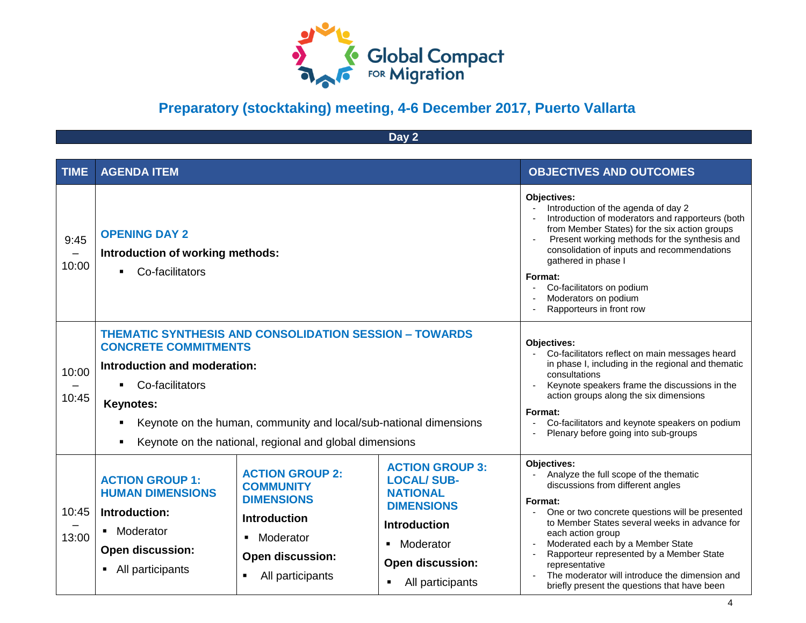

**Day 2**

| <b>TIME</b>    | <b>AGENDA ITEM</b>                                                                                                                                                                                                                                                                                                    |                                                                                                                                                                    |                                                                                                                                                                                                                                                                                                                                                                            | <b>OBJECTIVES AND OUTCOMES</b>                                                                                                                                                                                                                                                                                                                                                                                                                       |
|----------------|-----------------------------------------------------------------------------------------------------------------------------------------------------------------------------------------------------------------------------------------------------------------------------------------------------------------------|--------------------------------------------------------------------------------------------------------------------------------------------------------------------|----------------------------------------------------------------------------------------------------------------------------------------------------------------------------------------------------------------------------------------------------------------------------------------------------------------------------------------------------------------------------|------------------------------------------------------------------------------------------------------------------------------------------------------------------------------------------------------------------------------------------------------------------------------------------------------------------------------------------------------------------------------------------------------------------------------------------------------|
| 9:45<br>10:00  | <b>OPENING DAY 2</b><br>Introduction of working methods:<br>Co-facilitators<br>$\blacksquare$                                                                                                                                                                                                                         |                                                                                                                                                                    | Objectives:<br>Introduction of the agenda of day 2<br>Introduction of moderators and rapporteurs (both<br>from Member States) for the six action groups<br>Present working methods for the synthesis and<br>consolidation of inputs and recommendations<br>gathered in phase I<br>Format:<br>Co-facilitators on podium<br>Moderators on podium<br>Rapporteurs in front row |                                                                                                                                                                                                                                                                                                                                                                                                                                                      |
| 10:00<br>10:45 | <b>THEMATIC SYNTHESIS AND CONSOLIDATION SESSION - TOWARDS</b><br><b>CONCRETE COMMITMENTS</b><br>Introduction and moderation:<br>Co-facilitators<br>$\blacksquare$<br><b>Keynotes:</b><br>Keynote on the human, community and local/sub-national dimensions<br>Keynote on the national, regional and global dimensions |                                                                                                                                                                    | Objectives:<br>Co-facilitators reflect on main messages heard<br>in phase I, including in the regional and thematic<br>consultations<br>Keynote speakers frame the discussions in the<br>action groups along the six dimensions<br>Format:<br>Co-facilitators and keynote speakers on podium<br>Plenary before going into sub-groups                                       |                                                                                                                                                                                                                                                                                                                                                                                                                                                      |
| 10:45<br>13:00 | <b>ACTION GROUP 1:</b><br><b>HUMAN DIMENSIONS</b><br>Introduction:<br>Moderator<br>$\blacksquare$<br><b>Open discussion:</b><br>All participants                                                                                                                                                                      | <b>ACTION GROUP 2:</b><br><b>COMMUNITY</b><br><b>DIMENSIONS</b><br><b>Introduction</b><br>Moderator<br>$\blacksquare$<br>Open discussion:<br>All participants<br>٠ | <b>ACTION GROUP 3:</b><br><b>LOCAL/SUB-</b><br><b>NATIONAL</b><br><b>DIMENSIONS</b><br><b>Introduction</b><br>Moderator<br>$\blacksquare$<br><b>Open discussion:</b><br>All participants                                                                                                                                                                                   | Objectives:<br>Analyze the full scope of the thematic<br>discussions from different angles<br>Format:<br>One or two concrete questions will be presented<br>$\blacksquare$<br>to Member States several weeks in advance for<br>each action group<br>Moderated each by a Member State<br>Rapporteur represented by a Member State<br>representative<br>The moderator will introduce the dimension and<br>briefly present the questions that have been |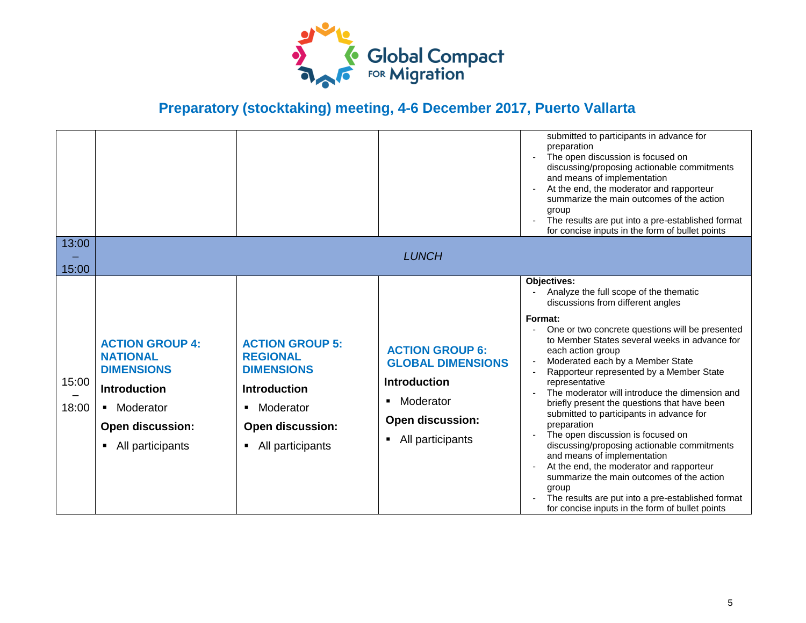

|                |                                                                                                                                                   |                                                                                                                                                                   |                                                                                                                                                                           | submitted to participants in advance for<br>preparation<br>The open discussion is focused on<br>discussing/proposing actionable commitments<br>and means of implementation<br>At the end, the moderator and rapporteur<br>summarize the main outcomes of the action<br>group<br>The results are put into a pre-established format<br>for concise inputs in the form of bullet points                                                                                                                                                                                                                                                                                                                                                                                                                                       |
|----------------|---------------------------------------------------------------------------------------------------------------------------------------------------|-------------------------------------------------------------------------------------------------------------------------------------------------------------------|---------------------------------------------------------------------------------------------------------------------------------------------------------------------------|----------------------------------------------------------------------------------------------------------------------------------------------------------------------------------------------------------------------------------------------------------------------------------------------------------------------------------------------------------------------------------------------------------------------------------------------------------------------------------------------------------------------------------------------------------------------------------------------------------------------------------------------------------------------------------------------------------------------------------------------------------------------------------------------------------------------------|
| 13:00          |                                                                                                                                                   |                                                                                                                                                                   | <b>LUNCH</b>                                                                                                                                                              |                                                                                                                                                                                                                                                                                                                                                                                                                                                                                                                                                                                                                                                                                                                                                                                                                            |
| 15:00          |                                                                                                                                                   |                                                                                                                                                                   |                                                                                                                                                                           |                                                                                                                                                                                                                                                                                                                                                                                                                                                                                                                                                                                                                                                                                                                                                                                                                            |
| 15:00<br>18:00 | <b>ACTION GROUP 4:</b><br><b>NATIONAL</b><br><b>DIMENSIONS</b><br><b>Introduction</b><br>Moderator<br><b>Open discussion:</b><br>All participants | <b>ACTION GROUP 5:</b><br><b>REGIONAL</b><br><b>DIMENSIONS</b><br><b>Introduction</b><br>Moderator<br>٠<br>Open discussion:<br>All participants<br>$\blacksquare$ | <b>ACTION GROUP 6:</b><br><b>GLOBAL DIMENSIONS</b><br><b>Introduction</b><br>Moderator<br>$\blacksquare$<br><b>Open discussion:</b><br>All participants<br>$\blacksquare$ | Objectives:<br>Analyze the full scope of the thematic<br>discussions from different angles<br>Format:<br>One or two concrete questions will be presented<br>to Member States several weeks in advance for<br>each action group<br>Moderated each by a Member State<br>Rapporteur represented by a Member State<br>representative<br>The moderator will introduce the dimension and<br>briefly present the questions that have been<br>submitted to participants in advance for<br>preparation<br>The open discussion is focused on<br>discussing/proposing actionable commitments<br>and means of implementation<br>At the end, the moderator and rapporteur<br>summarize the main outcomes of the action<br>group<br>The results are put into a pre-established format<br>for concise inputs in the form of bullet points |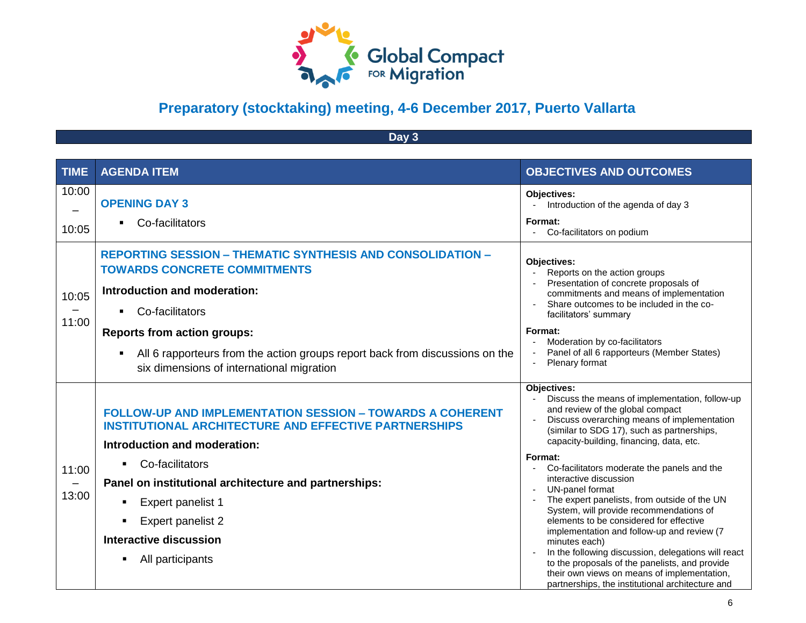

**Day 3**

| <b>TIME</b>    | <b>AGENDA ITEM</b>                                                                                                                                                                                                                                                                                                                                                                   | <b>OBJECTIVES AND OUTCOMES</b>                                                                                                                                                                                                                                                                                                                                                                                                                                                                                                                                                                                                                                                                                                                                                       |
|----------------|--------------------------------------------------------------------------------------------------------------------------------------------------------------------------------------------------------------------------------------------------------------------------------------------------------------------------------------------------------------------------------------|--------------------------------------------------------------------------------------------------------------------------------------------------------------------------------------------------------------------------------------------------------------------------------------------------------------------------------------------------------------------------------------------------------------------------------------------------------------------------------------------------------------------------------------------------------------------------------------------------------------------------------------------------------------------------------------------------------------------------------------------------------------------------------------|
| 10:00<br>10:05 | <b>OPENING DAY 3</b><br>Co-facilitators                                                                                                                                                                                                                                                                                                                                              | <b>Objectives:</b><br>Introduction of the agenda of day 3<br>Format:<br>Co-facilitators on podium                                                                                                                                                                                                                                                                                                                                                                                                                                                                                                                                                                                                                                                                                    |
| 10:05<br>11:00 | <b>REPORTING SESSION - THEMATIC SYNTHESIS AND CONSOLIDATION -</b><br><b>TOWARDS CONCRETE COMMITMENTS</b><br>Introduction and moderation:<br>Co-facilitators<br>$\blacksquare$<br><b>Reports from action groups:</b><br>All 6 rapporteurs from the action groups report back from discussions on the<br>six dimensions of international migration                                     | Objectives:<br>Reports on the action groups<br>Presentation of concrete proposals of<br>commitments and means of implementation<br>Share outcomes to be included in the co-<br>facilitators' summary<br>Format:<br>Moderation by co-facilitators<br>Panel of all 6 rapporteurs (Member States)<br>Plenary format                                                                                                                                                                                                                                                                                                                                                                                                                                                                     |
| 11:00<br>13:00 | <b>FOLLOW-UP AND IMPLEMENTATION SESSION - TOWARDS A COHERENT</b><br><b>INSTITUTIONAL ARCHITECTURE AND EFFECTIVE PARTNERSHIPS</b><br>Introduction and moderation:<br>Co-facilitators<br>$\blacksquare$<br>Panel on institutional architecture and partnerships:<br>Expert panelist 1<br>$\blacksquare$<br><b>Expert panelist 2</b><br>Interactive discussion<br>All participants<br>٠ | Objectives:<br>Discuss the means of implementation, follow-up<br>and review of the global compact<br>Discuss overarching means of implementation<br>(similar to SDG 17), such as partnerships,<br>capacity-building, financing, data, etc.<br>Format:<br>Co-facilitators moderate the panels and the<br>$\blacksquare$<br>interactive discussion<br>UN-panel format<br>The expert panelists, from outside of the UN<br>System, will provide recommendations of<br>elements to be considered for effective<br>implementation and follow-up and review (7<br>minutes each)<br>In the following discussion, delegations will react<br>to the proposals of the panelists, and provide<br>their own views on means of implementation,<br>partnerships, the institutional architecture and |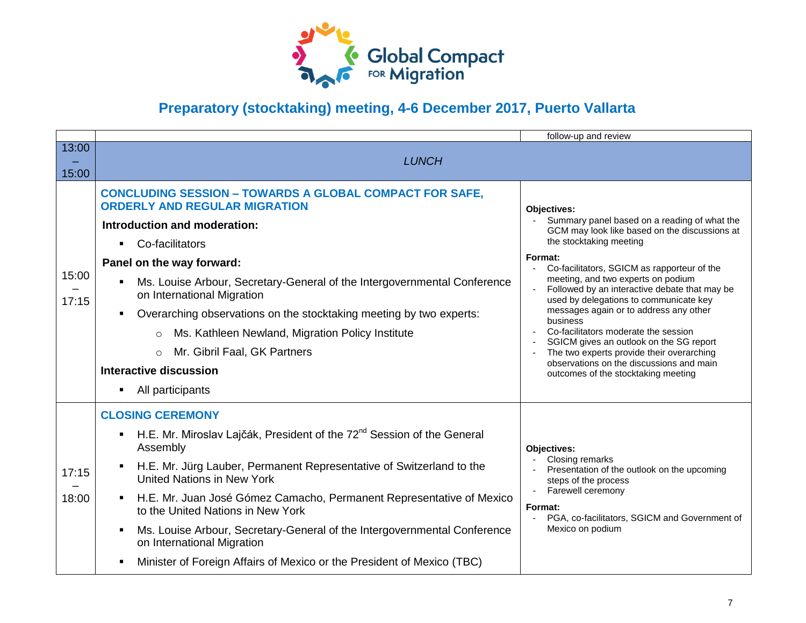

|                |                                                                                                                                                                                                                                                                                                                                                                                                                                                                                                                                                    | follow-up and review                                                                                                                                                                                                                                                                                                                                                                                                                                                                                                                                                                                        |
|----------------|----------------------------------------------------------------------------------------------------------------------------------------------------------------------------------------------------------------------------------------------------------------------------------------------------------------------------------------------------------------------------------------------------------------------------------------------------------------------------------------------------------------------------------------------------|-------------------------------------------------------------------------------------------------------------------------------------------------------------------------------------------------------------------------------------------------------------------------------------------------------------------------------------------------------------------------------------------------------------------------------------------------------------------------------------------------------------------------------------------------------------------------------------------------------------|
| 13:00<br>15:00 | <b>LUNCH</b>                                                                                                                                                                                                                                                                                                                                                                                                                                                                                                                                       |                                                                                                                                                                                                                                                                                                                                                                                                                                                                                                                                                                                                             |
| 15:00<br>17:15 | <b>CONCLUDING SESSION - TOWARDS A GLOBAL COMPACT FOR SAFE,</b><br><b>ORDERLY AND REGULAR MIGRATION</b><br>Introduction and moderation:<br>Co-facilitators<br>$\blacksquare$<br>Panel on the way forward:<br>Ms. Louise Arbour, Secretary-General of the Intergovernmental Conference<br>on International Migration<br>Overarching observations on the stocktaking meeting by two experts:<br>Ms. Kathleen Newland, Migration Policy Institute<br>$\circ$<br>Mr. Gibril Faal, GK Partners<br>$\circ$<br>Interactive discussion<br>All participants  | Objectives:<br>Summary panel based on a reading of what the<br>GCM may look like based on the discussions at<br>the stocktaking meeting<br>Format:<br>Co-facilitators, SGICM as rapporteur of the<br>meeting, and two experts on podium<br>Followed by an interactive debate that may be<br>used by delegations to communicate key<br>messages again or to address any other<br>business<br>Co-facilitators moderate the session<br>SGICM gives an outlook on the SG report<br>The two experts provide their overarching<br>observations on the discussions and main<br>outcomes of the stocktaking meeting |
| 17:15<br>18:00 | <b>CLOSING CEREMONY</b><br>H.E. Mr. Miroslav Lajčák, President of the 72 <sup>nd</sup> Session of the General<br>$\blacksquare$<br>Assembly<br>H.E. Mr. Jürg Lauber, Permanent Representative of Switzerland to the<br>United Nations in New York<br>H.E. Mr. Juan José Gómez Camacho, Permanent Representative of Mexico<br>to the United Nations in New York<br>Ms. Louise Arbour, Secretary-General of the Intergovernmental Conference<br>on International Migration<br>Minister of Foreign Affairs of Mexico or the President of Mexico (TBC) | Objectives:<br>Closing remarks<br>Presentation of the outlook on the upcoming<br>steps of the process<br>Farewell ceremony<br>Format:<br>PGA, co-facilitators, SGICM and Government of<br>Mexico on podium                                                                                                                                                                                                                                                                                                                                                                                                  |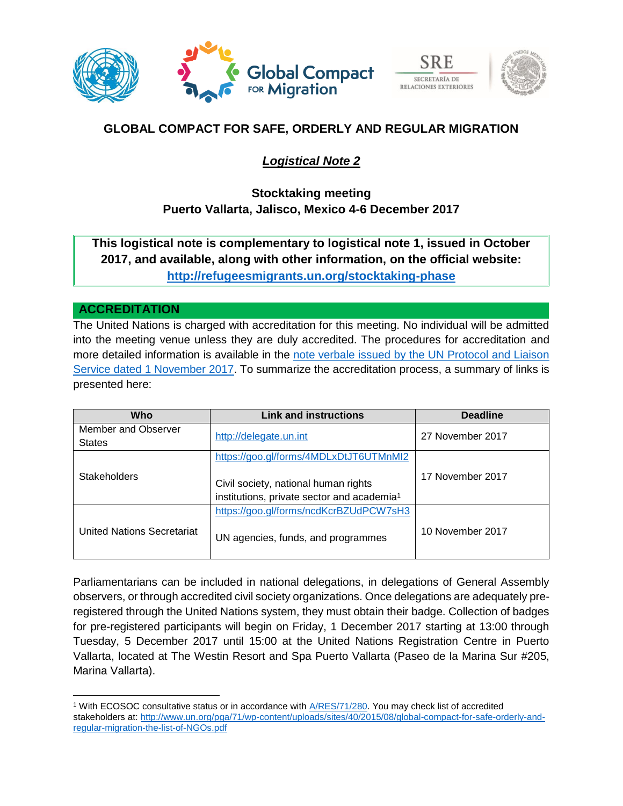





## **GLOBAL COMPACT FOR SAFE, ORDERLY AND REGULAR MIGRATION**

## *Logistical Note 2*

## **Stocktaking meeting Puerto Vallarta, Jalisco, Mexico 4-6 December 2017**

**This logistical note is complementary to logistical note 1, issued in October 2017, and available, along with other information, on the official website: <http://refugeesmigrants.un.org/stocktaking-phase>**

### **ACCREDITATION**

l

The United Nations is charged with accreditation for this meeting. No individual will be admitted into the meeting venue unless they are duly accredited. The procedures for accreditation and more detailed information is available in the [note verbale issued by the UN Protocol and Liaison](http://refugeesmigrants.un.org/sites/default/files/nv_puerto_vallarta_migration_meeting.pdf)  [Service dated 1 November 2017.](http://refugeesmigrants.un.org/sites/default/files/nv_puerto_vallarta_migration_meeting.pdf) To summarize the accreditation process, a summary of links is presented here:

| <b>Who</b>                 | <b>Link and instructions</b>                           | <b>Deadline</b>  |
|----------------------------|--------------------------------------------------------|------------------|
| Member and Observer        | http://delegate.un.int                                 | 27 November 2017 |
| <b>States</b>              |                                                        |                  |
|                            | https://goo.gl/forms/4MDLxDtJT6UTMnMI2                 |                  |
| <b>Stakeholders</b>        |                                                        | 17 November 2017 |
|                            | Civil society, national human rights                   |                  |
|                            | institutions, private sector and academia <sup>1</sup> |                  |
|                            | https://goo.gl/forms/ncdKcrBZUdPCW7sH3                 |                  |
| United Nations Secretariat | UN agencies, funds, and programmes                     | 10 November 2017 |

Parliamentarians can be included in national delegations, in delegations of General Assembly observers, or through accredited civil society organizations. Once delegations are adequately preregistered through the United Nations system, they must obtain their badge. Collection of badges for pre-registered participants will begin on Friday, 1 December 2017 starting at 13:00 through Tuesday, 5 December 2017 until 15:00 at the United Nations Registration Centre in Puerto Vallarta, located at The Westin Resort and Spa Puerto Vallarta (Paseo de la Marina Sur #205, Marina Vallarta).

<sup>1</sup> With ECOSOC consultative status or in accordance with [A/RES/71/280.](http://www.un.org/en/ga/search/view_doc.asp?symbol=a/res/71/280) You may check list of accredited stakeholders at: [http://www.un.org/pga/71/wp-content/uploads/sites/40/2015/08/global-compact-for-safe-orderly-and](http://www.un.org/pga/71/wp-content/uploads/sites/40/2015/08/global-compact-for-safe-orderly-and-regular-migration-the-list-of-NGOs.pdf)[regular-migration-the-list-of-NGOs.pdf](http://www.un.org/pga/71/wp-content/uploads/sites/40/2015/08/global-compact-for-safe-orderly-and-regular-migration-the-list-of-NGOs.pdf)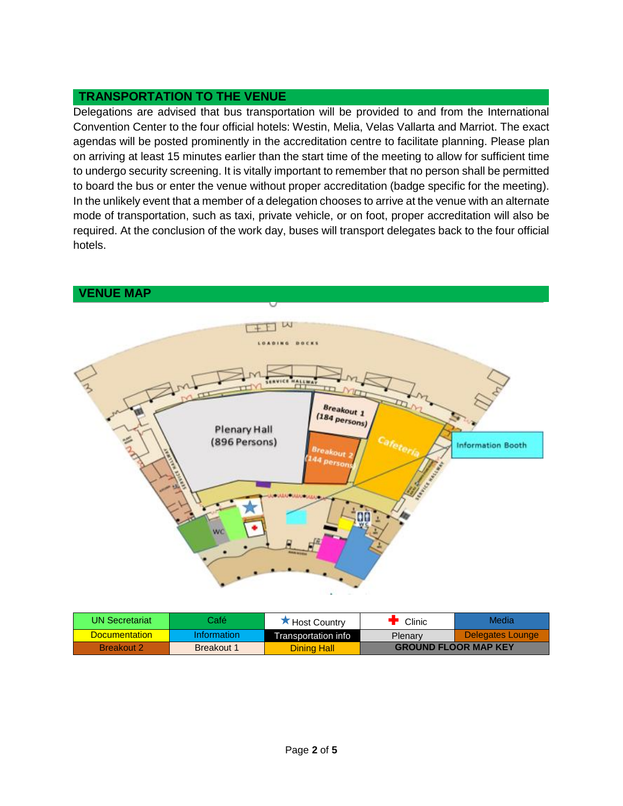## **TRANSPORTATION TO THE VENUE**

Delegations are advised that bus transportation will be provided to and from the International Convention Center to the four official hotels: Westin, Melia, Velas Vallarta and Marriot. The exact agendas will be posted prominently in the accreditation centre to facilitate planning. Please plan on arriving at least 15 minutes earlier than the start time of the meeting to allow for sufficient time to undergo security screening. It is vitally important to remember that no person shall be permitted to board the bus or enter the venue without proper accreditation (badge specific for the meeting). In the unlikely event that a member of a delegation chooses to arrive at the venue with an alternate mode of transportation, such as taxi, private vehicle, or on foot, proper accreditation will also be required. At the conclusion of the work day, buses will transport delegates back to the four official hotels.



| UN Secretariat.      | Café i      | K Host Country      | Clinic                      | Media            |
|----------------------|-------------|---------------------|-----------------------------|------------------|
| <b>Documentation</b> | Information | Transportation info | Plenary                     | Delegates Lounge |
| <b>Breakout 2</b>    | Breakout 1  | Dining Hall         | <b>GROUND FLOOR MAP KEY</b> |                  |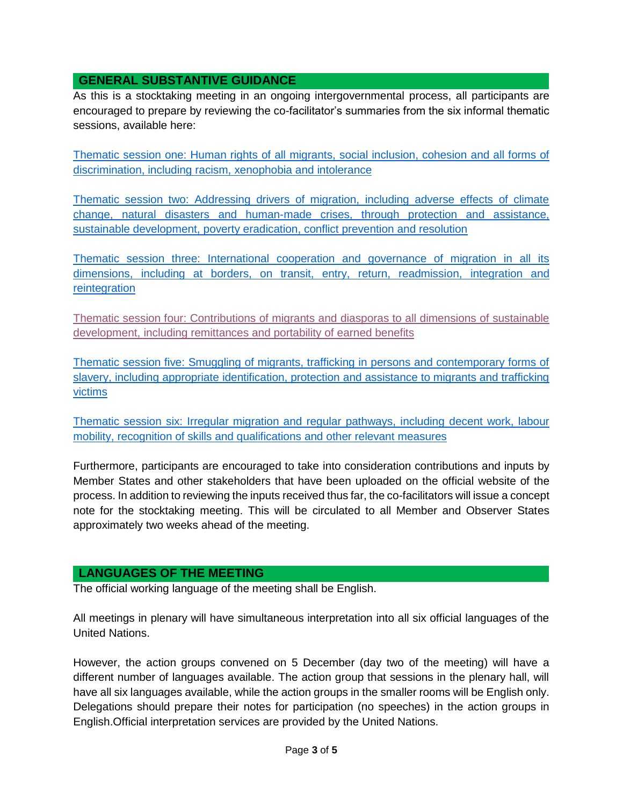## **GENERAL SUBSTANTIVE GUIDANCE**

As this is a stocktaking meeting in an ongoing intergovernmental process, all participants are encouraged to prepare by reviewing the co-facilitator's summaries from the six informal thematic sessions, available here:

[Thematic session one: Human rights of all migrants, social inclusion, cohesion and all forms of](http://refugeesmigrants.un.org/sites/default/files/summary_0.pdf)  [discrimination, including racism, xenophobia and intolerance](http://refugeesmigrants.un.org/sites/default/files/summary_0.pdf)

[Thematic session two: Addressing drivers of migration, including adverse effects of climate](http://refugeesmigrants.un.org/sites/default/files/ts2_cofacilitators_summary.pdf)  [change, natural disasters and human-made crises, through protection and assistance,](http://refugeesmigrants.un.org/sites/default/files/ts2_cofacilitators_summary.pdf)  [sustainable development, poverty eradication, conflict prevention and resolution](http://refugeesmigrants.un.org/sites/default/files/ts2_cofacilitators_summary.pdf)

[Thematic session three: International cooperation and governance of migration in all its](http://refugeesmigrants.un.org/sites/default/files/ts3_co-fascilitators_summary.pdf)  [dimensions, including at borders, on transit, entry, return, readmission, integration and](http://refugeesmigrants.un.org/sites/default/files/ts3_co-fascilitators_summary.pdf)  [reintegration](http://refugeesmigrants.un.org/sites/default/files/ts3_co-fascilitators_summary.pdf)

[Thematic session four: Contributions of migrants and diasporas to all dimensions of sustainable](http://refugeesmigrants.un.org/sites/default/files/ts4_co-facilitators_summary.pdf)  [development, including remittances and portability of earned benefits](http://refugeesmigrants.un.org/sites/default/files/ts4_co-facilitators_summary.pdf)

[Thematic session five: Smuggling of migrants, trafficking in persons and contemporary forms of](https://refugeesmigrants.un.org/sites/default/files/ts5_co-facilitators_summary.pdf)  [slavery, including appropriate identification, protection and assistance to migrants and trafficking](https://refugeesmigrants.un.org/sites/default/files/ts5_co-facilitators_summary.pdf)  [victims](https://refugeesmigrants.un.org/sites/default/files/ts5_co-facilitators_summary.pdf)

[Thematic session six: Irregular migration and regular pathways, including decent work, labour](http://refugeesmigrants.un.org/sites/default/files/its6_summary_final_171102.pdf)  [mobility, recognition of skills and qualifications and other relevant measures](http://refugeesmigrants.un.org/sites/default/files/its6_summary_final_171102.pdf)

Furthermore, participants are encouraged to take into consideration contributions and inputs by Member States and other stakeholders that have been uploaded on the official website of the process. In addition to reviewing the inputs received thus far, the co-facilitators will issue a concept note for the stocktaking meeting. This will be circulated to all Member and Observer States approximately two weeks ahead of the meeting.

### **LANGUAGES OF THE MEETING**

The official working language of the meeting shall be English.

All meetings in plenary will have simultaneous interpretation into all six official languages of the United Nations.

However, the action groups convened on 5 December (day two of the meeting) will have a different number of languages available. The action group that sessions in the plenary hall, will have all six languages available, while the action groups in the smaller rooms will be English only. Delegations should prepare their notes for participation (no speeches) in the action groups in English.Official interpretation services are provided by the United Nations.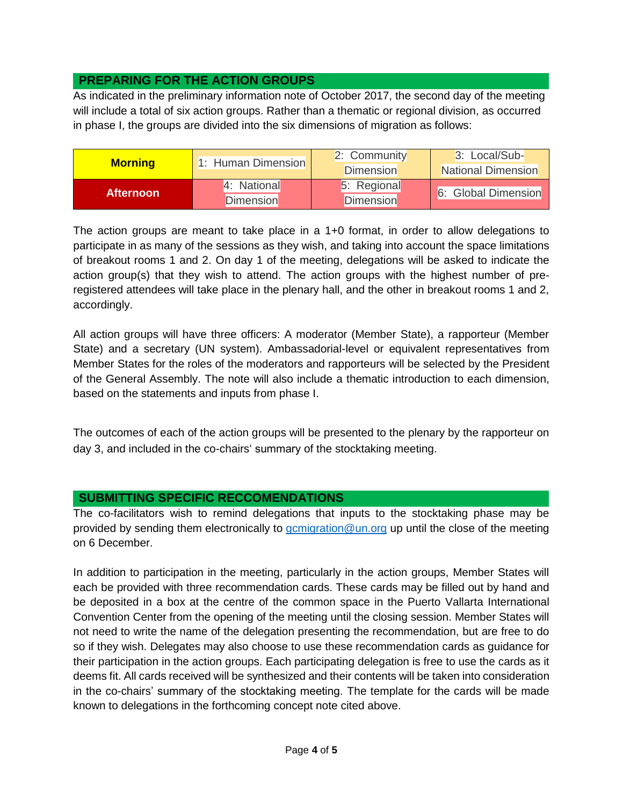## **PREPARING FOR THE ACTION GROUPS**

As indicated in the preliminary information note of October 2017, the second day of the meeting will include a total of six action groups. Rather than a thematic or regional division, as occurred in phase I, the groups are divided into the six dimensions of migration as follows:

| <b>Morning</b>   | 1: Human Dimension | 2: Community     | 3: Local/Sub-             |
|------------------|--------------------|------------------|---------------------------|
|                  |                    | <b>Dimension</b> | <b>National Dimension</b> |
| <b>Afternoon</b> | 4: National        | 5: Regional      | 6: Global Dimension       |
|                  | <b>Dimension</b>   | <b>Dimension</b> |                           |

The action groups are meant to take place in a 1+0 format, in order to allow delegations to participate in as many of the sessions as they wish, and taking into account the space limitations of breakout rooms 1 and 2. On day 1 of the meeting, delegations will be asked to indicate the action group(s) that they wish to attend. The action groups with the highest number of preregistered attendees will take place in the plenary hall, and the other in breakout rooms 1 and 2, accordingly.

All action groups will have three officers: A moderator (Member State), a rapporteur (Member State) and a secretary (UN system). Ambassadorial-level or equivalent representatives from Member States for the roles of the moderators and rapporteurs will be selected by the President of the General Assembly. The note will also include a thematic introduction to each dimension, based on the statements and inputs from phase I.

The outcomes of each of the action groups will be presented to the plenary by the rapporteur on day 3, and included in the co-chairs' summary of the stocktaking meeting.

### **SUBMITTING SPECIFIC RECCOMENDATIONS**

The co-facilitators wish to remind delegations that inputs to the stocktaking phase may be provided by sending them electronically to [gcmigration@un.org](mailto:gcmigration@un.org) up until the close of the meeting on 6 December.

In addition to participation in the meeting, particularly in the action groups, Member States will each be provided with three recommendation cards. These cards may be filled out by hand and be deposited in a box at the centre of the common space in the Puerto Vallarta International Convention Center from the opening of the meeting until the closing session. Member States will not need to write the name of the delegation presenting the recommendation, but are free to do so if they wish. Delegates may also choose to use these recommendation cards as guidance for their participation in the action groups. Each participating delegation is free to use the cards as it deems fit. All cards received will be synthesized and their contents will be taken into consideration in the co-chairs' summary of the stocktaking meeting. The template for the cards will be made known to delegations in the forthcoming concept note cited above.